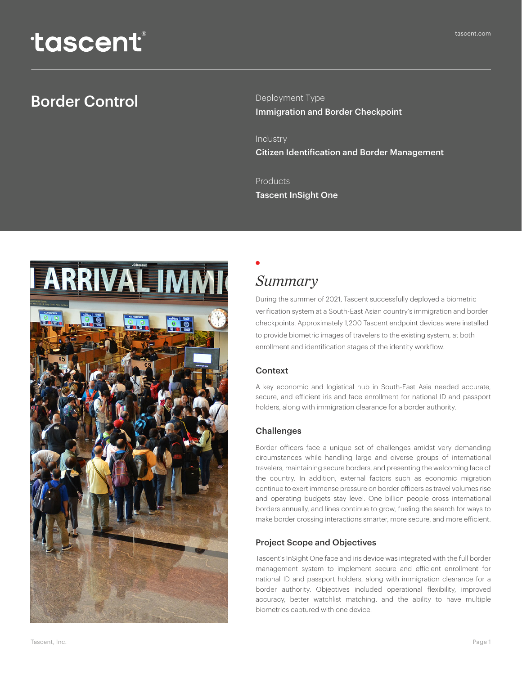# Border Control

Deployment Type Immigration and Border Checkpoint

Industry Citizen Identification and Border Management

Products Tascent InSight One



# *Summary*

During the summer of 2021, Tascent successfully deployed a biometric verification system at a South-East Asian country's immigration and border checkpoints. Approximately 1,200 Tascent endpoint devices were installed to provide biometric images of travelers to the existing system, at both enrollment and identification stages of the identity workflow.

### Context

A key economic and logistical hub in South-East Asia needed accurate, secure, and efficient iris and face enrollment for national ID and passport holders, along with immigration clearance for a border authority.

## Challenges

Border officers face a unique set of challenges amidst very demanding circumstances while handling large and diverse groups of international travelers, maintaining secure borders, and presenting the welcoming face of the country. In addition, external factors such as economic migration continue to exert immense pressure on border officers as travel volumes rise and operating budgets stay level. One billion people cross international borders annually, and lines continue to grow, fueling the search for ways to make border crossing interactions smarter, more secure, and more efficient.

## Project Scope and Objectives

Tascent's InSight One face and iris device was integrated with the full border management system to implement secure and efficient enrollment for national ID and passport holders, along with immigration clearance for a border authority. Objectives included operational flexibility, improved accuracy, better watchlist matching, and the ability to have multiple biometrics captured with one device.